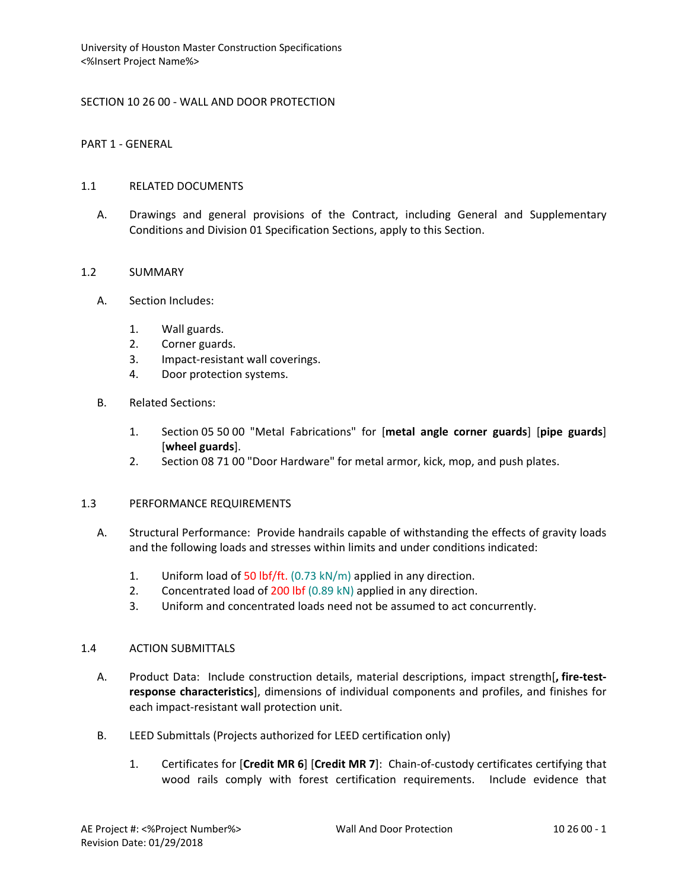### SECTION 10 26 00 - WALL AND DOOR PROTECTION

PART 1 - GENERAL

#### 1.1 RELATED DOCUMENTS

A. Drawings and general provisions of the Contract, including General and Supplementary Conditions and Division 01 Specification Sections, apply to this Section.

### 1.2 SUMMARY

- A. Section Includes:
	- 1. Wall guards.
	- 2. Corner guards.
	- 3. Impact-resistant wall coverings.
	- 4. Door protection systems.
- B. Related Sections:
	- 1. Section 05 50 00 "Metal Fabrications" for [**metal angle corner guards**] [**pipe guards**] [**wheel guards**].
	- 2. Section 08 71 00 "Door Hardware" for metal armor, kick, mop, and push plates.

#### 1.3 PERFORMANCE REQUIREMENTS

- A. Structural Performance: Provide handrails capable of withstanding the effects of gravity loads and the following loads and stresses within limits and under conditions indicated:
	- 1. Uniform load of 50 lbf/ft.  $(0.73 \text{ kN/m})$  applied in any direction.
	- 2. Concentrated load of 200 lbf (0.89 kN) applied in any direction.
	- 3. Uniform and concentrated loads need not be assumed to act concurrently.

### 1.4 ACTION SUBMITTALS

- A. Product Data: Include construction details, material descriptions, impact strength[**, fire-testresponse characteristics**], dimensions of individual components and profiles, and finishes for each impact-resistant wall protection unit.
- B. LEED Submittals (Projects authorized for LEED certification only)
	- 1. Certificates for [**Credit MR 6**] [**Credit MR 7**]: Chain-of-custody certificates certifying that wood rails comply with forest certification requirements. Include evidence that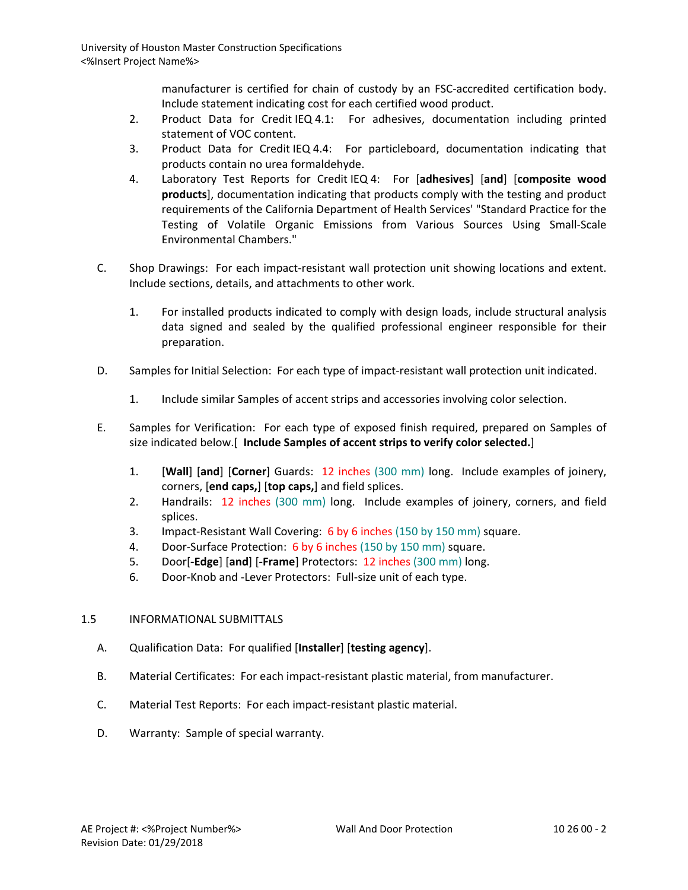manufacturer is certified for chain of custody by an FSC-accredited certification body. Include statement indicating cost for each certified wood product.

- 2. Product Data for Credit IEQ 4.1: For adhesives, documentation including printed statement of VOC content.
- 3. Product Data for Credit IEQ 4.4: For particleboard, documentation indicating that products contain no urea formaldehyde.
- 4. Laboratory Test Reports for Credit IEQ 4: For [**adhesives**] [**and**] [**composite wood products**], documentation indicating that products comply with the testing and product requirements of the California Department of Health Services' "Standard Practice for the Testing of Volatile Organic Emissions from Various Sources Using Small-Scale Environmental Chambers."
- C. Shop Drawings: For each impact-resistant wall protection unit showing locations and extent. Include sections, details, and attachments to other work.
	- 1. For installed products indicated to comply with design loads, include structural analysis data signed and sealed by the qualified professional engineer responsible for their preparation.
- D. Samples for Initial Selection: For each type of impact-resistant wall protection unit indicated.
	- 1. Include similar Samples of accent strips and accessories involving color selection.
- E. Samples for Verification: For each type of exposed finish required, prepared on Samples of size indicated below.[ **Include Samples of accent strips to verify color selected.**]
	- 1. [**Wall**] [**and**] [**Corner**] Guards: 12 inches (300 mm) long. Include examples of joinery, corners, [**end caps,**] [**top caps,**] and field splices.
	- 2. Handrails: 12 inches (300 mm) long. Include examples of joinery, corners, and field splices.
	- 3. Impact-Resistant Wall Covering: 6 by 6 inches (150 by 150 mm) square.
	- 4. Door-Surface Protection: 6 by 6 inches (150 by 150 mm) square.
	- 5. Door[**-Edge**] [**and**] [**-Frame**] Protectors: 12 inches (300 mm) long.
	- 6. Door-Knob and -Lever Protectors: Full-size unit of each type.

# 1.5 INFORMATIONAL SUBMITTALS

- A. Qualification Data: For qualified [**Installer**] [**testing agency**].
- B. Material Certificates: For each impact-resistant plastic material, from manufacturer.
- C. Material Test Reports: For each impact-resistant plastic material.
- D. Warranty: Sample of special warranty.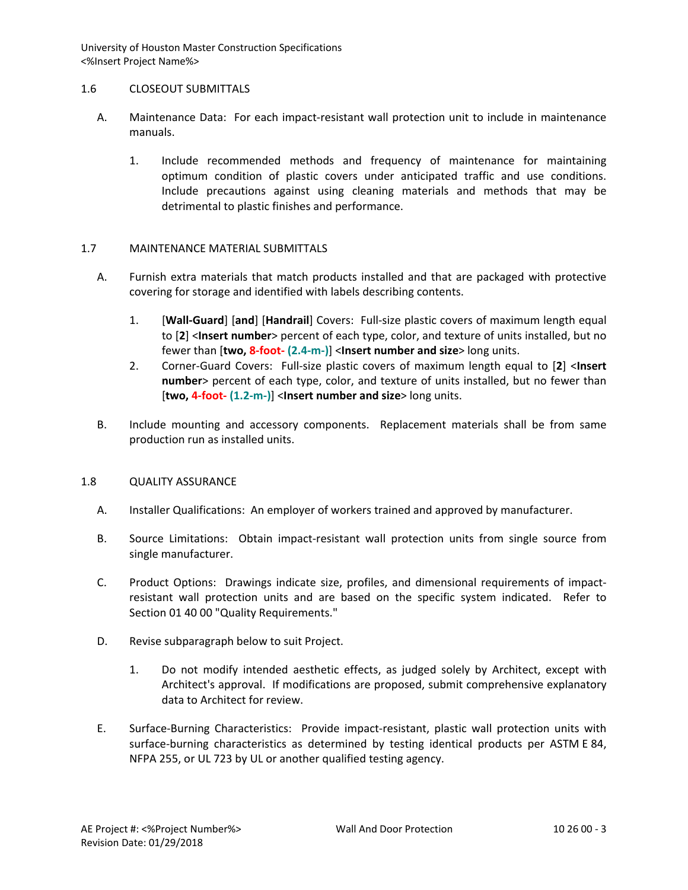### 1.6 CLOSEOUT SUBMITTALS

- A. Maintenance Data: For each impact-resistant wall protection unit to include in maintenance manuals.
	- 1. Include recommended methods and frequency of maintenance for maintaining optimum condition of plastic covers under anticipated traffic and use conditions. Include precautions against using cleaning materials and methods that may be detrimental to plastic finishes and performance.

# 1.7 MAINTENANCE MATERIAL SUBMITTALS

- A. Furnish extra materials that match products installed and that are packaged with protective covering for storage and identified with labels describing contents.
	- 1. [**Wall-Guard**] [**and**] [**Handrail**] Covers: Full-size plastic covers of maximum length equal to [**2**] <**Insert number**> percent of each type, color, and texture of units installed, but no fewer than [**two, 8-foot- (2.4-m-)**] <**Insert number and size**> long units.
	- 2. Corner-Guard Covers: Full-size plastic covers of maximum length equal to [**2**] <**Insert number**> percent of each type, color, and texture of units installed, but no fewer than [**two, 4-foot- (1.2-m-)**] <**Insert number and size**> long units.
- B. Include mounting and accessory components. Replacement materials shall be from same production run as installed units.

# 1.8 QUALITY ASSURANCE

- A. Installer Qualifications: An employer of workers trained and approved by manufacturer.
- B. Source Limitations: Obtain impact-resistant wall protection units from single source from single manufacturer.
- C. Product Options: Drawings indicate size, profiles, and dimensional requirements of impactresistant wall protection units and are based on the specific system indicated. Refer to Section 01 40 00 "Quality Requirements."
- D. Revise subparagraph below to suit Project.
	- 1. Do not modify intended aesthetic effects, as judged solely by Architect, except with Architect's approval. If modifications are proposed, submit comprehensive explanatory data to Architect for review.
- E. Surface-Burning Characteristics: Provide impact-resistant, plastic wall protection units with surface-burning characteristics as determined by testing identical products per ASTM E 84, NFPA 255, or UL 723 by UL or another qualified testing agency.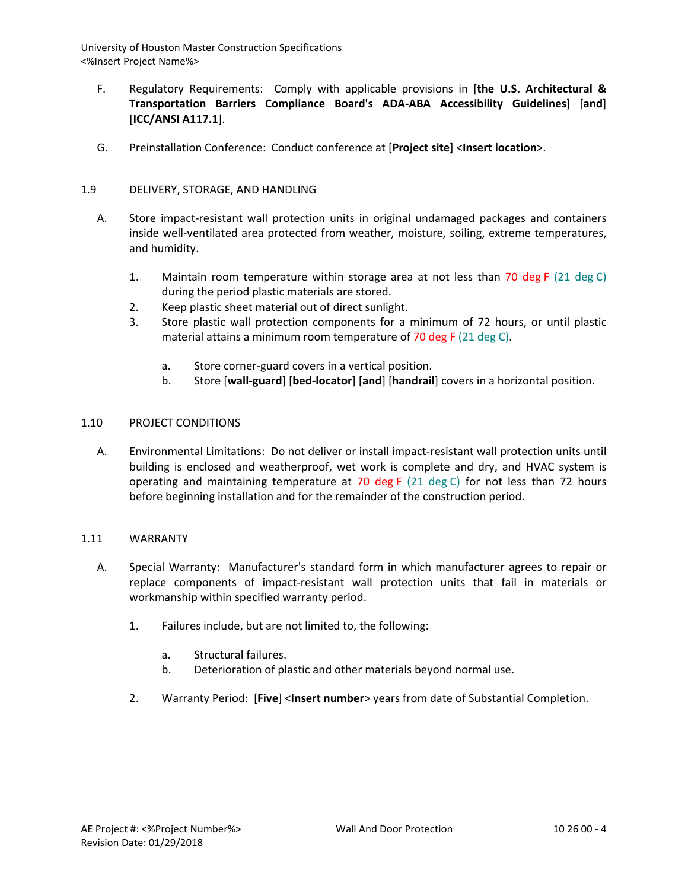- F. Regulatory Requirements: Comply with applicable provisions in [**the U.S. Architectural & Transportation Barriers Compliance Board's ADA-ABA Accessibility Guidelines**] [**and**] [**ICC/ANSI A117.1**].
- G. Preinstallation Conference: Conduct conference at [**Project site**] <**Insert location**>.

# 1.9 DELIVERY, STORAGE, AND HANDLING

- A. Store impact-resistant wall protection units in original undamaged packages and containers inside well-ventilated area protected from weather, moisture, soiling, extreme temperatures, and humidity.
	- 1. Maintain room temperature within storage area at not less than 70 deg F (21 deg C) during the period plastic materials are stored.
	- 2. Keep plastic sheet material out of direct sunlight.
	- 3. Store plastic wall protection components for a minimum of 72 hours, or until plastic material attains a minimum room temperature of 70 deg F (21 deg C).
		- a. Store corner-guard covers in a vertical position.
		- b. Store [**wall-guard**] [**bed-locator**] [**and**] [**handrail**] covers in a horizontal position.

### 1.10 PROJECT CONDITIONS

A. Environmental Limitations: Do not deliver or install impact-resistant wall protection units until building is enclosed and weatherproof, wet work is complete and dry, and HVAC system is operating and maintaining temperature at 70 deg F  $(21 \text{ deg } C)$  for not less than 72 hours before beginning installation and for the remainder of the construction period.

#### 1.11 WARRANTY

- A. Special Warranty: Manufacturer's standard form in which manufacturer agrees to repair or replace components of impact-resistant wall protection units that fail in materials or workmanship within specified warranty period.
	- 1. Failures include, but are not limited to, the following:
		- a. Structural failures.
		- b. Deterioration of plastic and other materials beyond normal use.
	- 2. Warranty Period: [**Five**] <**Insert number**> years from date of Substantial Completion.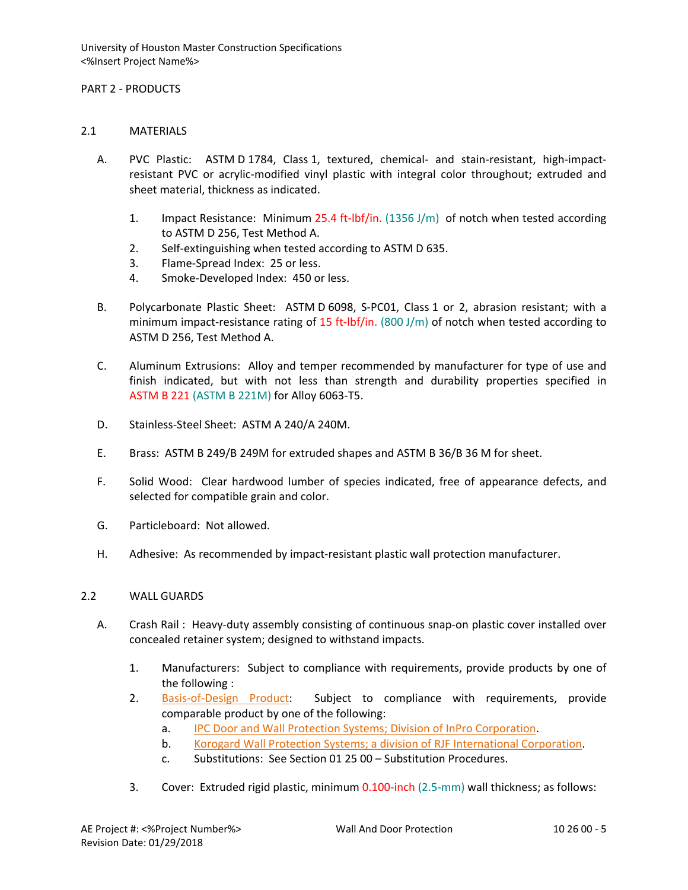### PART 2 - PRODUCTS

### 2.1 MATERIALS

- A. PVC Plastic: ASTM D 1784, Class 1, textured, chemical- and stain-resistant, high-impactresistant PVC or acrylic-modified vinyl plastic with integral color throughout; extruded and sheet material, thickness as indicated.
	- 1. Impact Resistance: Minimum 25.4 ft-lbf/in. (1356 J/m) of notch when tested according to ASTM D 256, Test Method A.
	- 2. Self-extinguishing when tested according to ASTM D 635.
	- 3. Flame-Spread Index: 25 or less.
	- 4. Smoke-Developed Index: 450 or less.
- B. Polycarbonate Plastic Sheet: ASTM D 6098, S-PC01, Class 1 or 2, abrasion resistant; with a minimum impact-resistance rating of 15 ft-lbf/in. (800 J/m) of notch when tested according to ASTM D 256, Test Method A.
- C. Aluminum Extrusions: Alloy and temper recommended by manufacturer for type of use and finish indicated, but with not less than strength and durability properties specified in ASTM B 221 (ASTM B 221M) for Alloy 6063-T5.
- D. Stainless-Steel Sheet: ASTM A 240/A 240M.
- E. Brass: ASTM B 249/B 249M for extruded shapes and ASTM B 36/B 36 M for sheet.
- F. Solid Wood: Clear hardwood lumber of species indicated, free of appearance defects, and selected for compatible grain and color.
- G. Particleboard: Not allowed.
- H. Adhesive: As recommended by impact-resistant plastic wall protection manufacturer.

# 2.2 WALL GUARDS

- A. Crash Rail : Heavy-duty assembly consisting of continuous snap-on plastic cover installed over concealed retainer system; designed to withstand impacts.
	- 1. Manufacturers: Subject to compliance with requirements, provide products by one of the following :
	- 2. [Basis-of-Design Product:](http://www.specagent.com/LookUp/?ulid=641&mf=04&src=wd) Subject to compliance with requirements, provide comparable product by one of the following:
		- a. [IPC Door and Wall Protection Systems; Division of InPro Corporation.](http://www.specagent.com/LookUp/?uid=123456792765&mf=04&src=wd)
		- b. [Korogard Wall Protection Systems; a division of RJF International Corporation.](http://www.specagent.com/LookUp/?uid=123456792766&mf=04&src=wd)
		- c. Substitutions: See Section 01 25 00 Substitution Procedures.
	- 3. Cover: Extruded rigid plastic, minimum 0.100-inch (2.5-mm) wall thickness; as follows: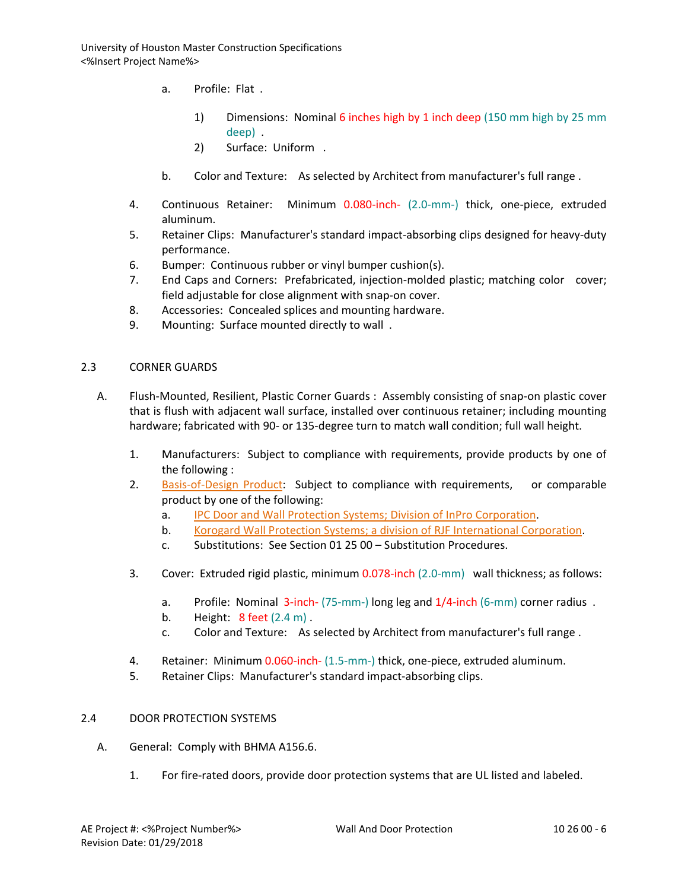- a. Profile: Flat .
	- 1) Dimensions: Nominal 6 inches high by 1 inch deep (150 mm high by 25 mm deep) .
	- 2) Surface: Uniform .
- b. Color and Texture: As selected by Architect from manufacturer's full range .
- 4. Continuous Retainer: Minimum 0.080-inch- (2.0-mm-) thick, one-piece, extruded aluminum.
- 5. Retainer Clips: Manufacturer's standard impact-absorbing clips designed for heavy-duty performance.
- 6. Bumper: Continuous rubber or vinyl bumper cushion(s).
- 7. End Caps and Corners: Prefabricated, injection-molded plastic; matching color cover; field adjustable for close alignment with snap-on cover.
- 8. Accessories: Concealed splices and mounting hardware.
- 9. Mounting: Surface mounted directly to wall .

### 2.3 CORNER GUARDS

- A. Flush-Mounted, Resilient, Plastic Corner Guards : Assembly consisting of snap-on plastic cover that is flush with adjacent wall surface, installed over continuous retainer; including mounting hardware; fabricated with 90- or 135-degree turn to match wall condition; full wall height.
	- 1. Manufacturers: Subject to compliance with requirements, provide products by one of the following :
	- 2. [Basis-of-Design Product:](http://www.specagent.com/LookUp/?ulid=665&mf=04&src=wd) Subject to compliance with requirements, or comparable product by one of the following:
		- a. [IPC Door and Wall Protection Systems; Division of InPro Corporation.](http://www.specagent.com/LookUp/?uid=123456792800&mf=04&src=wd)
		- b. [Korogard Wall Protection Systems; a division of RJF International Corporation.](http://www.specagent.com/LookUp/?uid=123456792801&mf=04&src=wd)
		- c. Substitutions: See Section 01 25 00 Substitution Procedures.
	- 3. Cover: Extruded rigid plastic, minimum 0.078-inch (2.0-mm) wall thickness; as follows:
		- a. Profile: Nominal 3-inch- (75-mm-) long leg and 1/4-inch (6-mm) corner radius .
		- b. Height: 8 feet (2.4 m) .
		- c. Color and Texture: As selected by Architect from manufacturer's full range .
	- 4. Retainer: Minimum 0.060-inch- (1.5-mm-) thick, one-piece, extruded aluminum.
	- 5. Retainer Clips: Manufacturer's standard impact-absorbing clips.

#### 2.4 DOOR PROTECTION SYSTEMS

- A. General: Comply with BHMA A156.6.
	- 1. For fire-rated doors, provide door protection systems that are UL listed and labeled.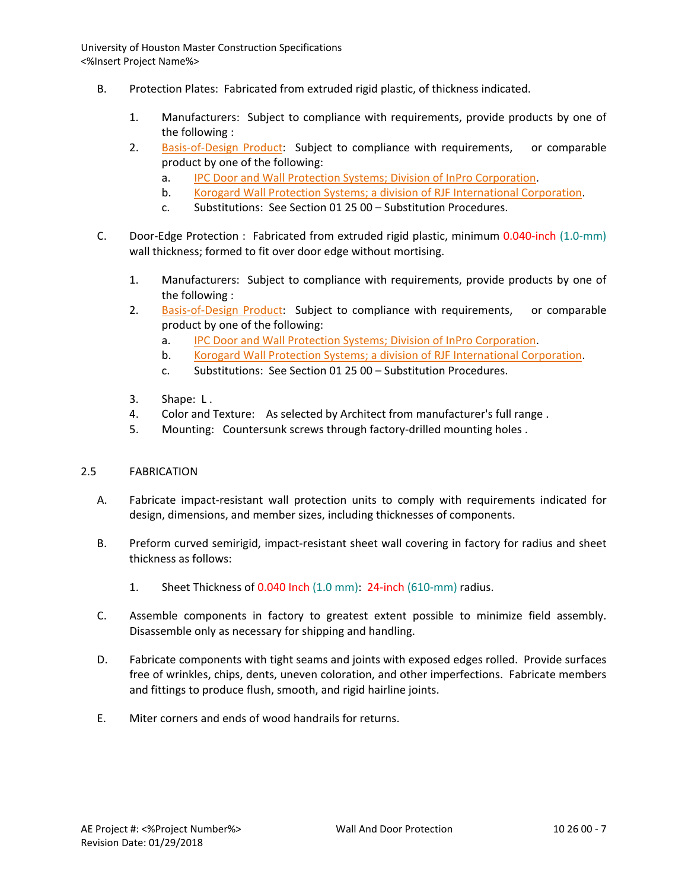- B. Protection Plates: Fabricated from extruded rigid plastic, of thickness indicated.
	- 1. Manufacturers: Subject to compliance with requirements, provide products by one of the following :
	- 2. [Basis-of-Design Product:](http://www.specagent.com/LookUp/?ulid=680&mf=04&src=wd) Subject to compliance with requirements, or comparable product by one of the following:
		- a. [IPC Door and Wall Protection Systems; Division of InPro Corporation.](http://www.specagent.com/LookUp/?uid=123456792830&mf=04&src=wd)
		- b. [Korogard Wall Protection Systems; a division of RJF International Corporation.](http://www.specagent.com/LookUp/?uid=123456792831&mf=04&src=wd)
		- c. Substitutions: See Section 01 25 00 Substitution Procedures.
- C. Door-Edge Protection : Fabricated from extruded rigid plastic, minimum 0.040-inch (1.0-mm) wall thickness; formed to fit over door edge without mortising.
	- 1. Manufacturers: Subject to compliance with requirements, provide products by one of the following :
	- 2. [Basis-of-Design Product:](http://www.specagent.com/LookUp/?ulid=681&mf=04&src=wd) Subject to compliance with requirements, or comparable product by one of the following:
		- a. [IPC Door and Wall Protection Systems; Division of InPro Corporation.](http://www.specagent.com/LookUp/?uid=123456792846&mf=04&src=wd)
		- b. [Korogard Wall Protection Systems; a division of RJF International Corporation.](http://www.specagent.com/LookUp/?uid=123456792848&mf=04&src=wd)
		- c. Substitutions: See Section 01 25 00 Substitution Procedures.
	- 3. Shape: L .
	- 4. Color and Texture: As selected by Architect from manufacturer's full range .
	- 5. Mounting: Countersunk screws through factory-drilled mounting holes .

# 2.5 FABRICATION

- A. Fabricate impact-resistant wall protection units to comply with requirements indicated for design, dimensions, and member sizes, including thicknesses of components.
- B. Preform curved semirigid, impact-resistant sheet wall covering in factory for radius and sheet thickness as follows:
	- 1. Sheet Thickness of 0.040 Inch (1.0 mm): 24-inch (610-mm) radius.
- C. Assemble components in factory to greatest extent possible to minimize field assembly. Disassemble only as necessary for shipping and handling.
- D. Fabricate components with tight seams and joints with exposed edges rolled. Provide surfaces free of wrinkles, chips, dents, uneven coloration, and other imperfections. Fabricate members and fittings to produce flush, smooth, and rigid hairline joints.
- E. Miter corners and ends of wood handrails for returns.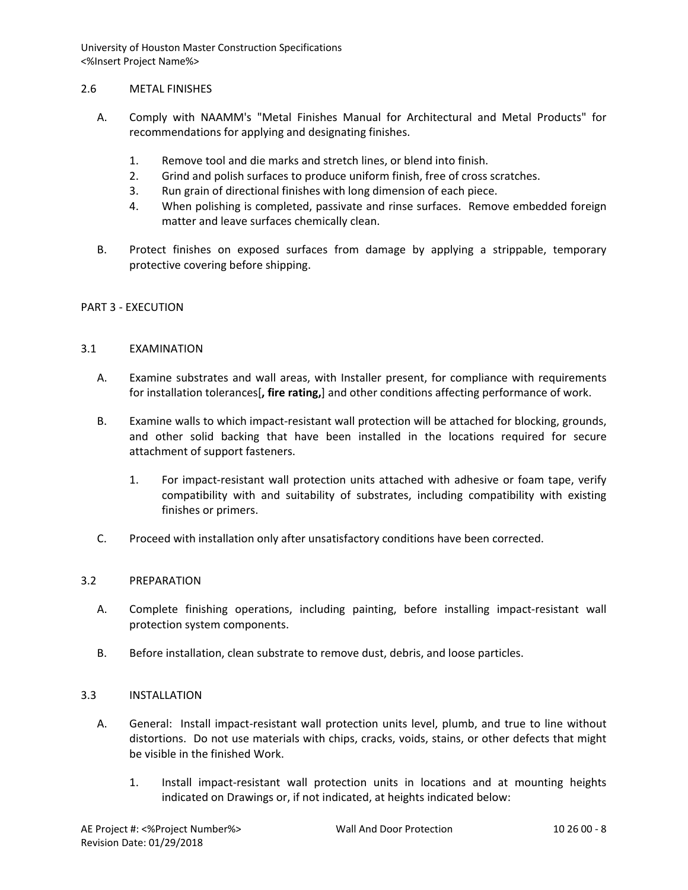### 2.6 METAL FINISHES

- A. Comply with NAAMM's "Metal Finishes Manual for Architectural and Metal Products" for recommendations for applying and designating finishes.
	- 1. Remove tool and die marks and stretch lines, or blend into finish.
	- 2. Grind and polish surfaces to produce uniform finish, free of cross scratches.
	- 3. Run grain of directional finishes with long dimension of each piece.
	- 4. When polishing is completed, passivate and rinse surfaces. Remove embedded foreign matter and leave surfaces chemically clean.
- B. Protect finishes on exposed surfaces from damage by applying a strippable, temporary protective covering before shipping.

### PART 3 - EXECUTION

### 3.1 EXAMINATION

- A. Examine substrates and wall areas, with Installer present, for compliance with requirements for installation tolerances[**, fire rating,**] and other conditions affecting performance of work.
- B. Examine walls to which impact-resistant wall protection will be attached for blocking, grounds, and other solid backing that have been installed in the locations required for secure attachment of support fasteners.
	- 1. For impact-resistant wall protection units attached with adhesive or foam tape, verify compatibility with and suitability of substrates, including compatibility with existing finishes or primers.
- C. Proceed with installation only after unsatisfactory conditions have been corrected.

# 3.2 PREPARATION

- A. Complete finishing operations, including painting, before installing impact-resistant wall protection system components.
- B. Before installation, clean substrate to remove dust, debris, and loose particles.

# 3.3 INSTALLATION

- A. General: Install impact-resistant wall protection units level, plumb, and true to line without distortions. Do not use materials with chips, cracks, voids, stains, or other defects that might be visible in the finished Work.
	- 1. Install impact-resistant wall protection units in locations and at mounting heights indicated on Drawings or, if not indicated, at heights indicated below: